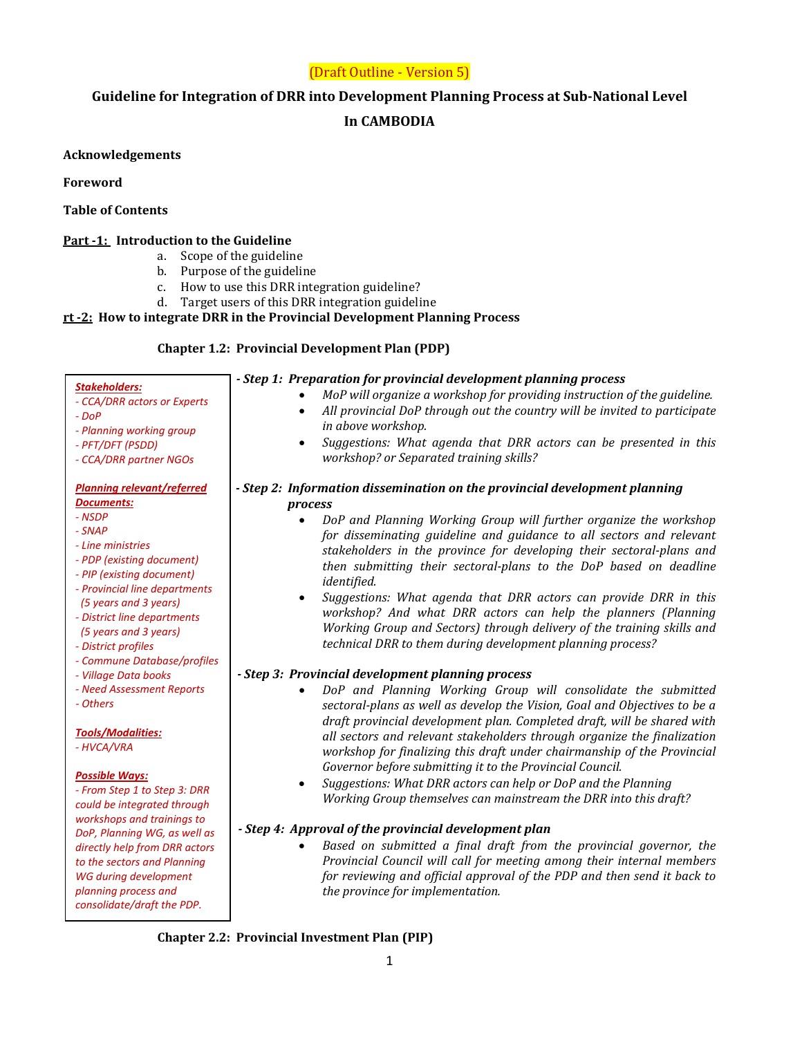# (Draft Outline - Version 5)

# **Guideline for Integration of DRR into Development Planning Process at Sub-National Level**

# **In CAMBODIA**

# **Acknowledgements**

# **Foreword**

# **Table of Contents**

# **Part -1: Introduction to the Guideline**

- a. Scope of the guideline
- b. Purpose of the guideline
- c. How to use this DRR integration guideline?
- d. Target users of this DRR integration guideline

# **rt -2: How to integrate DRR in the Provincial Development Planning Process**

# **Chapter 1.2: Provincial Development Plan (PDP)**

| <b>Stakeholders:</b>                                 | - Step 1: Preparation for provincial development planning process              |
|------------------------------------------------------|--------------------------------------------------------------------------------|
| - CCA/DRR actors or Experts                          | MoP will organize a workshop for providing instruction of the guideline.       |
| $-DOP$                                               | All provincial DoP through out the country will be invited to participate      |
| - Planning working group                             | in above workshop.                                                             |
| - PFT/DFT (PSDD)                                     | Suggestions: What agenda that DRR actors can be presented in this<br>$\bullet$ |
| - CCA/DRR partner NGOs                               | workshop? or Separated training skills?                                        |
|                                                      |                                                                                |
| <b>Planning relevant/referred</b>                    | - Step 2: Information dissemination on the provincial development planning     |
| Documents:                                           | process                                                                        |
| - NSDP                                               | DoP and Planning Working Group will further organize the workshop              |
| - SNAP                                               | for disseminating guideline and guidance to all sectors and relevant           |
| - Line ministries                                    | stakeholders in the province for developing their sectoral-plans and           |
| - PDP (existing document)                            | then submitting their sectoral-plans to the DoP based on deadline              |
| - PIP (existing document)                            | identified.                                                                    |
| - Provincial line departments                        |                                                                                |
| (5 years and 3 years)                                | Suggestions: What agenda that DRR actors can provide DRR in this               |
| - District line departments                          | workshop? And what DRR actors can help the planners (Planning                  |
| (5 years and 3 years)                                | Working Group and Sectors) through delivery of the training skills and         |
| - District profiles                                  | technical DRR to them during development planning process?                     |
| - Commune Database/profiles                          |                                                                                |
| - Village Data books                                 | - Step 3: Provincial development planning process                              |
| - Need Assessment Reports                            | DoP and Planning Working Group will consolidate the submitted                  |
| - Others                                             | sectoral-plans as well as develop the Vision, Goal and Objectives to be a      |
|                                                      | draft provincial development plan. Completed draft, will be shared with        |
| <b>Tools/Modalities:</b>                             | all sectors and relevant stakeholders through organize the finalization        |
| - HVCA/VRA                                           | workshop for finalizing this draft under chairmanship of the Provincial        |
|                                                      | Governor before submitting it to the Provincial Council.                       |
| <b>Possible Ways:</b>                                | Suggestions: What DRR actors can help or DoP and the Planning                  |
| - From Step 1 to Step 3: DRR                         | Working Group themselves can mainstream the DRR into this draft?               |
| could be integrated through                          |                                                                                |
| workshops and trainings to                           | - Step 4: Approval of the provincial development plan                          |
| DoP, Planning WG, as well as                         | Based on submitted a final draft from the provincial governor, the             |
| directly help from DRR actors                        | Provincial Council will call for meeting among their internal members          |
| to the sectors and Planning                          | for reviewing and official approval of the PDP and then send it back to        |
| <b>WG during development</b><br>planning process and |                                                                                |
| consolidate/draft the PDP.                           | the province for implementation.                                               |
|                                                      |                                                                                |

# **Chapter 2.2: Provincial Investment Plan (PIP)**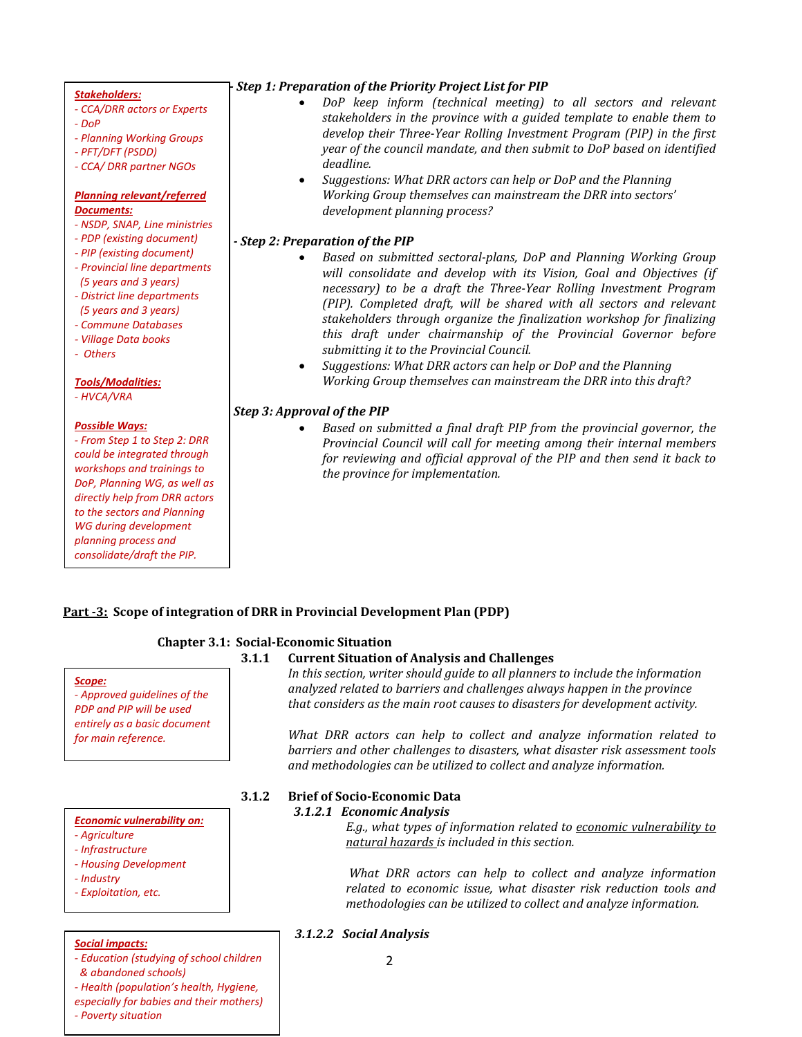#### *Stakeholders:*

- *- CCA/DRR actors or Experts*
- *- DoP*
- *- Planning Working Groups*
- *- PFT/DFT (PSDD)*
- *- CCA/ DRR partner NGOs*

#### *Planning relevant/referred Documents:*

- *- NSDP, SNAP, Line ministries*
- *- PDP (existing document)*
- *- PIP (existing document)*
- *- Provincial line departments (5 years and 3 years)*
- *- District line departments*
- *(5 years and 3 years)*
- *- Commune Databases - Village Data books*
- 
- *- Others*

### *Tools/Modalities:*

*- HVCA/VRA* 

#### *Possible Ways:*

*- From Step 1 to Step 2: DRR could be integrated through workshops and trainings to DoP, Planning WG, as well as directly help from DRR actors to the sectors and Planning WG during development planning process and consolidate/draft the PIP.*

### *Step 1: Preparation of the Priority Project List for PIP*

- *DoP keep inform (technical meeting) to all sectors and relevant stakeholders in the province with a guided template to enable them to develop their Three-Year Rolling Investment Program (PIP) in the first year of the council mandate, and then submit to DoP based on identified deadline.*
- *Suggestions: What DRR actors can help or DoP and the Planning Working Group themselves can mainstream the DRR into sectors' development planning process?*

### *- Step 2: Preparation of the PIP*

- *Based on submitted sectoral-plans, DoP and Planning Working Group will consolidate and develop with its Vision, Goal and Objectives (if necessary) to be a draft the Three-Year Rolling Investment Program (PIP). Completed draft, will be shared with all sectors and relevant stakeholders through organize the finalization workshop for finalizing this draft under chairmanship of the Provincial Governor before submitting it to the Provincial Council.*
- *Suggestions: What DRR actors can help or DoP and the Planning Working Group themselves can mainstream the DRR into this draft?*

### *Step 3: Approval of the PIP*

• *Based on submitted a final draft PIP from the provincial governor, the Provincial Council will call for meeting among their internal members for reviewing and official approval of the PIP and then send it back to the province for implementation.* 

### **Part -3: Scope of integration of DRR in Provincial Development Plan (PDP)**

### **Chapter 3.1: Social-Economic Situation**

#### **3.1.1 Current Situation of Analysis and Challenges**

*Scope: - Approved guidelines of the PDP and PIP will be used entirely as a basic document for main reference.*

#### *Economic vulnerability on:*

- *- Agriculture*
- *- Infrastructure*
- *- Housing Development*
- *- Industry*
- *- Exploitation, etc.*

#### *Social impacts:*

- *- Education (studying of school children & abandoned schools)*
- 
- *- Health (population's health, Hygiene, especially for babies and their mothers) - Poverty situation*

*In this section, writer should guide to all planners to include the information analyzed related to barriers and challenges always happen in the province that considers as the main root causes to disasters for development activity.*

*What DRR actors can help to collect and analyze information related to barriers and other challenges to disasters, what disaster risk assessment tools and methodologies can be utilized to collect and analyze information.*

#### **3.1.2 Brief of Socio-Economic Data** *3.1.2.1 Economic Analysis*

*E.g., what types of information related to economic vulnerability to natural hazards is included in this section.* 

*What DRR actors can help to collect and analyze information related to economic issue, what disaster risk reduction tools and methodologies can be utilized to collect and analyze information.*

#### *3.1.2.2 Social Analysis*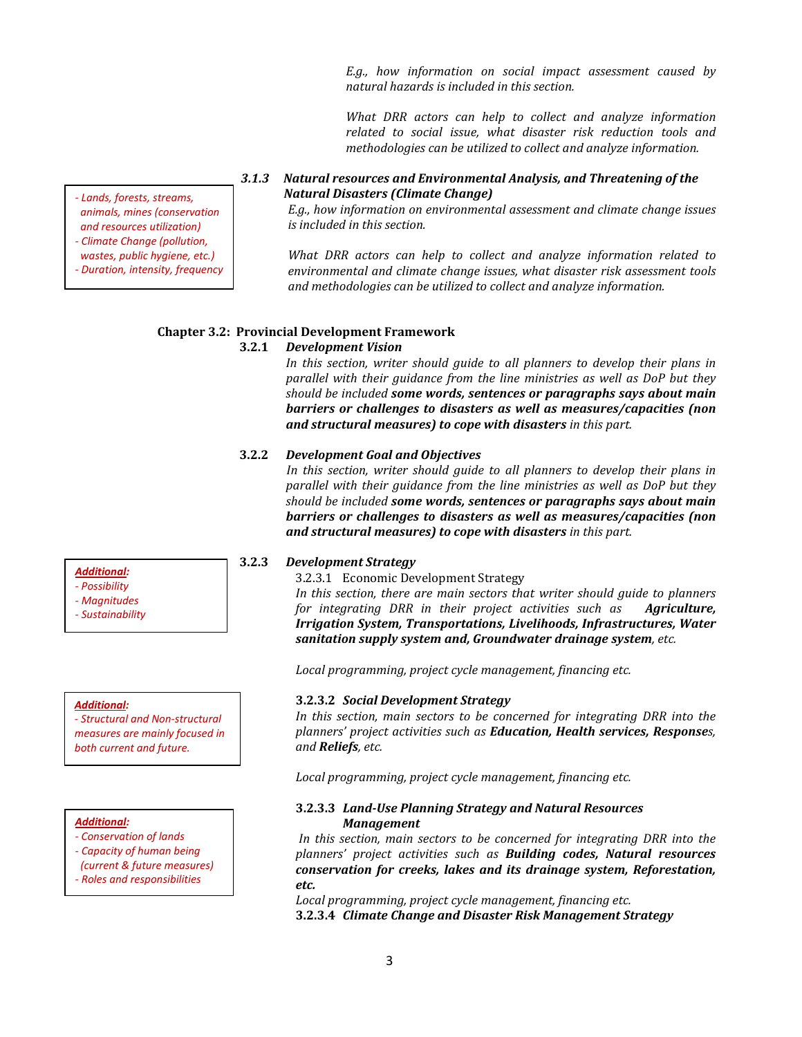*E.g., how information on social impact assessment caused by natural hazards is included in this section.* 

*What DRR actors can help to collect and analyze information related to social issue, what disaster risk reduction tools and methodologies can be utilized to collect and analyze information.*

### *3.1.3 Natural resources and Environmental Analysis, and Threatening of the Natural Disasters (Climate Change)*

*E.g., how information on environmental assessment and climate change issues is included in this section.* 

*What DRR actors can help to collect and analyze information related to environmental and climate change issues, what disaster risk assessment tools and methodologies can be utilized to collect and analyze information.*

# **Chapter 3.2: Provincial Development Framework**

### **3.2.1** *Development Vision*

In this section, writer should guide to all planners to develop their plans in *parallel with their guidance from the line ministries as well as DoP but they should be included some words, sentences or paragraphs says about main barriers or challenges to disasters as well as measures/capacities (non and structural measures) to cope with disasters in this part.* 

#### **3.2.2** *Development Goal and Objectives*

*In this section, writer should guide to all planners to develop their plans in parallel with their guidance from the line ministries as well as DoP but they should be included some words, sentences or paragraphs says about main barriers or challenges to disasters as well as measures/capacities (non and structural measures) to cope with disasters in this part.* 

### **3.2.3** *Development Strategy*

3.2.3.1 Economic Development Strategy

*In this section, there are main sectors that writer should guide to planners for integrating DRR in their project activities such as Agriculture, Irrigation System, Transportations, Livelihoods, Infrastructures, Water sanitation supply system and, Groundwater drainage system, etc.* 

*Local programming, project cycle management, financing etc.*

### **3.2.3.2** *Social Development Strategy*

*In this section, main sectors to be concerned for integrating DRR into the planners' project activities such as Education, Health services, Responses, and Reliefs, etc.* 

*Local programming, project cycle management, financing etc.*

### **3.2.3.3** *Land-Use Planning Strategy and Natural Resources Management*

*In this section, main sectors to be concerned for integrating DRR into the planners' project activities such as Building codes, Natural resources conservation for creeks, lakes and its drainage system, Reforestation, etc.* 

*Local programming, project cycle management, financing etc.* **3.2.3.4** *Climate Change and Disaster Risk Management Strategy* 

*Additional:*

- *- Possibility*
- *- Magnitudes*
- *- Sustainability*

#### *Additional:*

*- Structural and Non-structural measures are mainly focused in both current and future.*

#### *Additional:*

- *- Conservation of lands*
- *- Capacity of human being*
- *(current & future measures) - Roles and responsibilities*

*- Lands, forests, streams, animals, mines (conservation and resources utilization)*

*- Climate Change (pollution, wastes, public hygiene, etc.)*

*- Duration, intensity, frequency*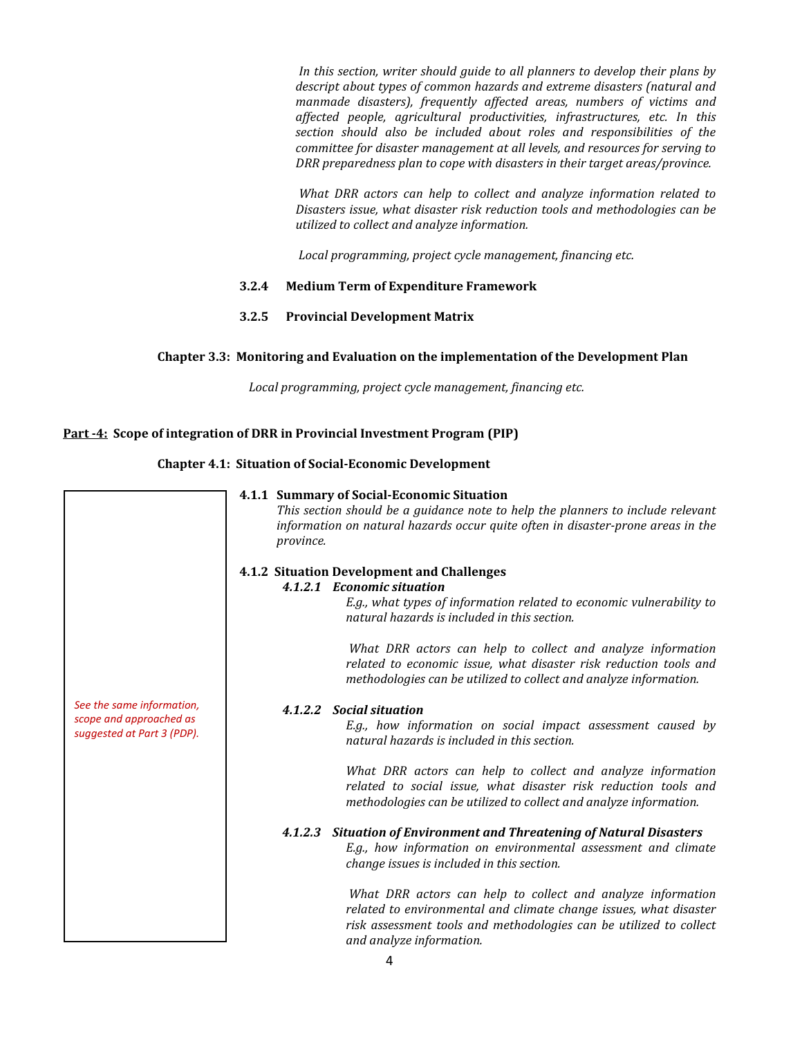*In this section, writer should guide to all planners to develop their plans by descript about types of common hazards and extreme disasters (natural and manmade disasters), frequently affected areas, numbers of victims and affected people, agricultural productivities, infrastructures, etc. In this section should also be included about roles and responsibilities of the committee for disaster management at all levels, and resources for serving to DRR preparedness plan to cope with disasters in their target areas/province.*

*What DRR actors can help to collect and analyze information related to Disasters issue, what disaster risk reduction tools and methodologies can be utilized to collect and analyze information.*

*Local programming, project cycle management, financing etc.*

### **3.2.4 Medium Term of Expenditure Framework**

**3.2.5 Provincial Development Matrix**

### **Chapter 3.3: Monitoring and Evaluation on the implementation of the Development Plan**

*Local programming, project cycle management, financing etc.*

# **Part -4: Scope of integration of DRR in Provincial Investment Program (PIP)**

### **Chapter 4.1: Situation of Social-Economic Development**

|                                                                                    | 4.1.1 Summary of Social-Economic Situation<br>This section should be a guidance note to help the planners to include relevant<br>information on natural hazards occur quite often in disaster-prone areas in the<br><i>province.</i>                                                                                                          |
|------------------------------------------------------------------------------------|-----------------------------------------------------------------------------------------------------------------------------------------------------------------------------------------------------------------------------------------------------------------------------------------------------------------------------------------------|
| See the same information,<br>scope and approached as<br>suggested at Part 3 (PDP). | 4.1.2 Situation Development and Challenges<br>4.1.2.1 Economic situation<br>E.g., what types of information related to economic vulnerability to<br>natural hazards is included in this section.<br>What DRR actors can help to collect and analyze information<br>related to economic issue, what disaster risk reduction tools and          |
|                                                                                    | methodologies can be utilized to collect and analyze information.<br>4.1.2.2 Social situation<br>E.g., how information on social impact assessment caused by<br>natural hazards is included in this section.                                                                                                                                  |
|                                                                                    | What DRR actors can help to collect and analyze information<br>related to social issue, what disaster risk reduction tools and<br>methodologies can be utilized to collect and analyze information.<br>4.1.2.3 Situation of Environment and Threatening of Natural Disasters<br>E.g., how information on environmental assessment and climate |
|                                                                                    | change issues is included in this section.<br>What DRR actors can help to collect and analyze information<br>related to environmental and climate change issues, what disaster<br>risk assessment tools and methodologies can be utilized to collect<br>and analyze information.                                                              |